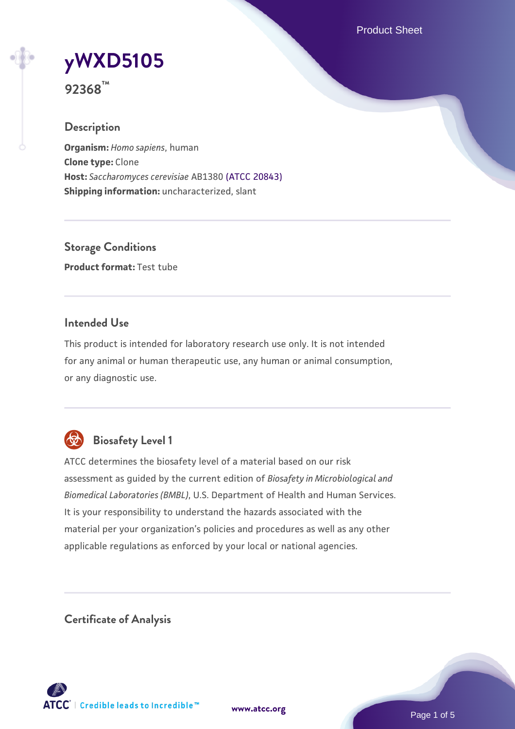Product Sheet

# **[yWXD5105](https://www.atcc.org/products/92368)**

**92368™**

## **Description**

**Organism:** *Homo sapiens*, human **Clone type:** Clone **Host:** *Saccharomyces cerevisiae* AB1380 [\(ATCC 20843\)](https://www.atcc.org/products/20843) **Shipping information:** uncharacterized, slant

**Storage Conditions Product format:** Test tube

## **Intended Use**

This product is intended for laboratory research use only. It is not intended for any animal or human therapeutic use, any human or animal consumption, or any diagnostic use.



# **Biosafety Level 1**

ATCC determines the biosafety level of a material based on our risk assessment as guided by the current edition of *Biosafety in Microbiological and Biomedical Laboratories (BMBL)*, U.S. Department of Health and Human Services. It is your responsibility to understand the hazards associated with the material per your organization's policies and procedures as well as any other applicable regulations as enforced by your local or national agencies.

**Certificate of Analysis**

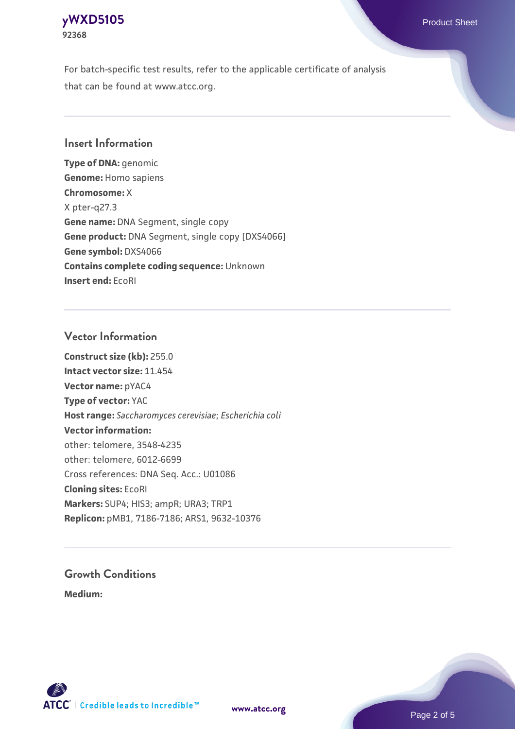## **[yWXD5105](https://www.atcc.org/products/92368)** Product Sheet **92368**

For batch-specific test results, refer to the applicable certificate of analysis that can be found at www.atcc.org.

## **Insert Information**

**Type of DNA:** genomic **Genome:** Homo sapiens **Chromosome:** X X pter-q27.3 **Gene name:** DNA Segment, single copy **Gene product:** DNA Segment, single copy [DXS4066] **Gene symbol:** DXS4066 **Contains complete coding sequence:** Unknown **Insert end:** EcoRI

## **Vector Information**

**Construct size (kb):** 255.0 **Intact vector size:** 11.454 **Vector name:** pYAC4 **Type of vector:** YAC **Host range:** *Saccharomyces cerevisiae*; *Escherichia coli* **Vector information:** other: telomere, 3548-4235 other: telomere, 6012-6699 Cross references: DNA Seq. Acc.: U01086 **Cloning sites:** EcoRI **Markers:** SUP4; HIS3; ampR; URA3; TRP1 **Replicon:** pMB1, 7186-7186; ARS1, 9632-10376

# **Growth Conditions**

**Medium:** 



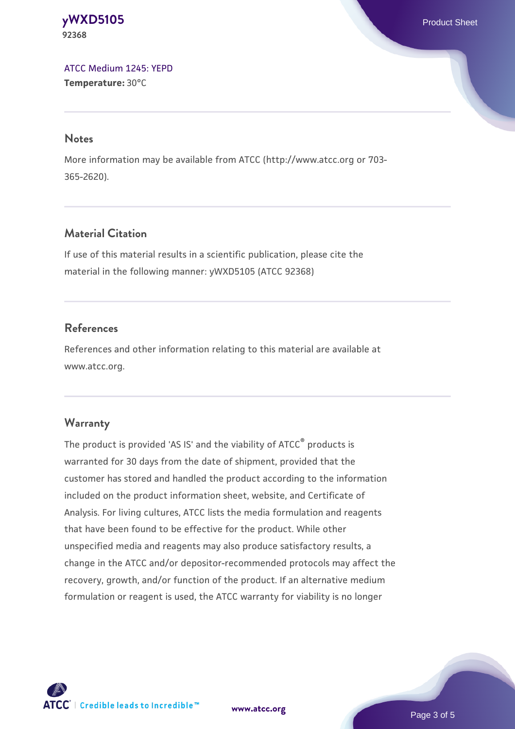#### **[yWXD5105](https://www.atcc.org/products/92368)** Product Sheet **92368**

[ATCC Medium 1245: YEPD](https://www.atcc.org/-/media/product-assets/documents/microbial-media-formulations/1/2/4/5/atcc-medium-1245.pdf?rev=705ca55d1b6f490a808a965d5c072196) **Temperature:** 30°C

#### **Notes**

More information may be available from ATCC (http://www.atcc.org or 703- 365-2620).

## **Material Citation**

If use of this material results in a scientific publication, please cite the material in the following manner: yWXD5105 (ATCC 92368)

## **References**

References and other information relating to this material are available at www.atcc.org.

## **Warranty**

The product is provided 'AS IS' and the viability of ATCC® products is warranted for 30 days from the date of shipment, provided that the customer has stored and handled the product according to the information included on the product information sheet, website, and Certificate of Analysis. For living cultures, ATCC lists the media formulation and reagents that have been found to be effective for the product. While other unspecified media and reagents may also produce satisfactory results, a change in the ATCC and/or depositor-recommended protocols may affect the recovery, growth, and/or function of the product. If an alternative medium formulation or reagent is used, the ATCC warranty for viability is no longer



**[www.atcc.org](http://www.atcc.org)**

Page 3 of 5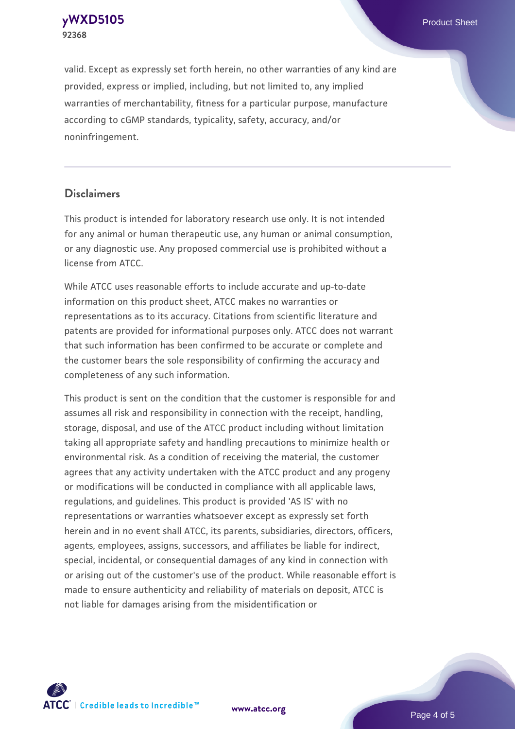**[yWXD5105](https://www.atcc.org/products/92368)** Product Sheet **92368**

valid. Except as expressly set forth herein, no other warranties of any kind are provided, express or implied, including, but not limited to, any implied warranties of merchantability, fitness for a particular purpose, manufacture according to cGMP standards, typicality, safety, accuracy, and/or noninfringement.

#### **Disclaimers**

This product is intended for laboratory research use only. It is not intended for any animal or human therapeutic use, any human or animal consumption, or any diagnostic use. Any proposed commercial use is prohibited without a license from ATCC.

While ATCC uses reasonable efforts to include accurate and up-to-date information on this product sheet, ATCC makes no warranties or representations as to its accuracy. Citations from scientific literature and patents are provided for informational purposes only. ATCC does not warrant that such information has been confirmed to be accurate or complete and the customer bears the sole responsibility of confirming the accuracy and completeness of any such information.

This product is sent on the condition that the customer is responsible for and assumes all risk and responsibility in connection with the receipt, handling, storage, disposal, and use of the ATCC product including without limitation taking all appropriate safety and handling precautions to minimize health or environmental risk. As a condition of receiving the material, the customer agrees that any activity undertaken with the ATCC product and any progeny or modifications will be conducted in compliance with all applicable laws, regulations, and guidelines. This product is provided 'AS IS' with no representations or warranties whatsoever except as expressly set forth herein and in no event shall ATCC, its parents, subsidiaries, directors, officers, agents, employees, assigns, successors, and affiliates be liable for indirect, special, incidental, or consequential damages of any kind in connection with or arising out of the customer's use of the product. While reasonable effort is made to ensure authenticity and reliability of materials on deposit, ATCC is not liable for damages arising from the misidentification or



**[www.atcc.org](http://www.atcc.org)**

Page 4 of 5